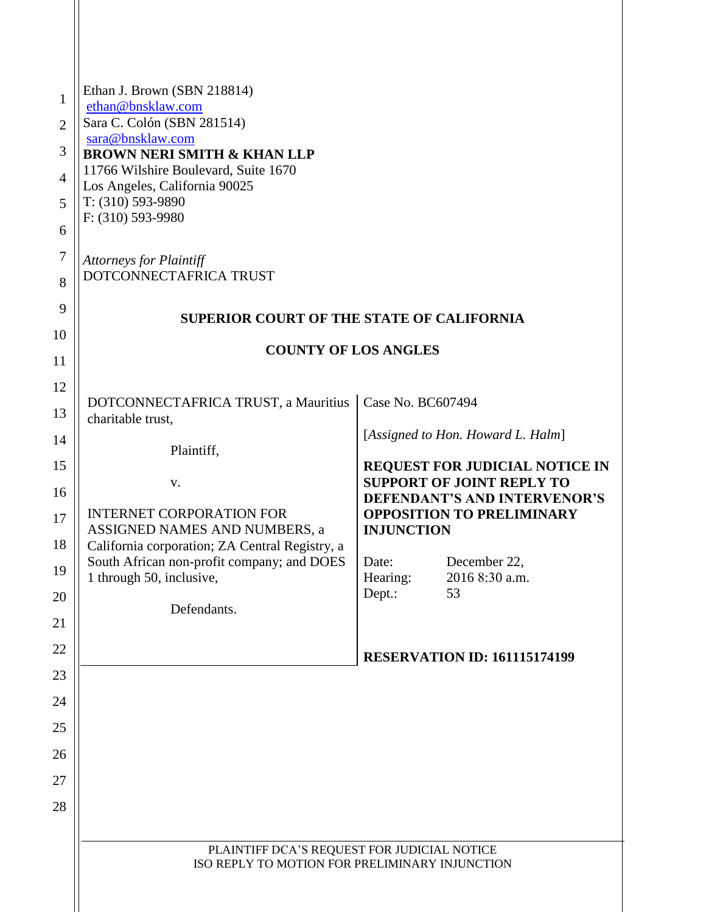| 1<br>$\overline{2}$ | Ethan J. Brown (SBN 218814)<br>ethan@bnsklaw.com<br>Sara C. Colón (SBN 281514)<br>sara@bnsklaw.com                                          |                                                                  |                                       |
|---------------------|---------------------------------------------------------------------------------------------------------------------------------------------|------------------------------------------------------------------|---------------------------------------|
| 3                   | <b>BROWN NERI SMITH &amp; KHAN LLP</b><br>11766 Wilshire Boulevard, Suite 1670<br>Los Angeles, California 90025                             |                                                                  |                                       |
| $\overline{4}$      |                                                                                                                                             |                                                                  |                                       |
| 5                   | $T: (310) 593-9890$<br>F: (310) 593-9980                                                                                                    |                                                                  |                                       |
| 6                   |                                                                                                                                             |                                                                  |                                       |
| $\overline{7}$<br>8 | <b>Attorneys for Plaintiff</b><br>DOTCONNECTAFRICA TRUST<br><b>SUPERIOR COURT OF THE STATE OF CALIFORNIA</b><br><b>COUNTY OF LOS ANGLES</b> |                                                                  |                                       |
| 9                   |                                                                                                                                             |                                                                  |                                       |
| 10                  |                                                                                                                                             |                                                                  |                                       |
| 11                  |                                                                                                                                             |                                                                  |                                       |
| 12<br>13            | DOTCONNECTAFRICA TRUST, a Mauritius<br>charitable trust,                                                                                    | Case No. BC607494                                                |                                       |
| 14                  |                                                                                                                                             | [Assigned to Hon. Howard L. Halm]                                |                                       |
| 15                  | Plaintiff,                                                                                                                                  |                                                                  | <b>REQUEST FOR JUDICIAL NOTICE IN</b> |
| 16                  | V.                                                                                                                                          |                                                                  | <b>SUPPORT OF JOINT REPLY TO</b>      |
| 17                  | <b>INTERNET CORPORATION FOR</b>                                                                                                             | DEFENDANT'S AND INTERVENOR'S<br><b>OPPOSITION TO PRELIMINARY</b> |                                       |
| 18                  | ASSIGNED NAMES AND NUMBERS, a<br>California corporation; ZA Central Registry, a                                                             | <b>INJUNCTION</b>                                                |                                       |
| 19                  | South African non-profit company; and DOES<br>1 through 50, inclusive,                                                                      | Date:<br>Hearing:                                                | December 22<br>2016 8:30 a.m.         |
| 20                  |                                                                                                                                             | Dept.:                                                           | 53                                    |
| 21                  | Defendants.                                                                                                                                 |                                                                  |                                       |
| 22                  |                                                                                                                                             |                                                                  |                                       |
| 23                  |                                                                                                                                             |                                                                  | <b>RESERVATION ID: 161115174199</b>   |
| 24                  |                                                                                                                                             |                                                                  |                                       |
| 25                  |                                                                                                                                             |                                                                  |                                       |
| 26                  |                                                                                                                                             |                                                                  |                                       |
| 27                  |                                                                                                                                             |                                                                  |                                       |
| 28                  |                                                                                                                                             |                                                                  |                                       |
|                     |                                                                                                                                             |                                                                  |                                       |
|                     | PLAINTIFF DCA'S REQUEST FOR JUDICIAL NOTICE<br>ISO REPLY TO MOTION FOR PRELIMINARY INJUNCTION                                               |                                                                  |                                       |
|                     |                                                                                                                                             |                                                                  |                                       |
|                     |                                                                                                                                             |                                                                  |                                       |